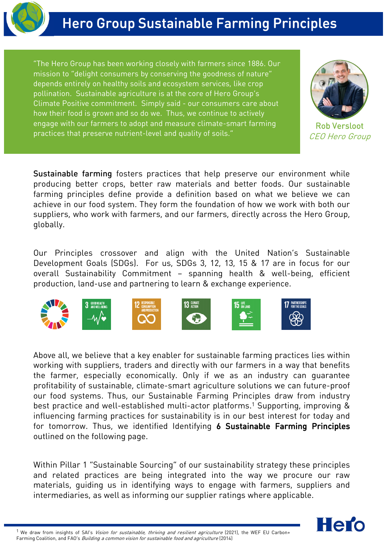

"The Hero Group has been working closely with farmers since 1886. Our mission to "delight consumers by conserving the goodness of nature" depends entirely on healthy soils and ecosystem services, like crop pollination. Sustainable agriculture is at the core of Hero Group's Climate Positive commitment. Simply said - our consumers care about how their food is grown and so do we. Thus, we continue to actively engage with our farmers to adopt and measure climate-smart farming practices that preserve nutrient-level and quality of soils."



Rob Versloot CEO Hero Group

Sustainable farming fosters practices that help preserve our environment while producing better crops, better raw materials and better foods. Our sustainable farming principles define provide a definition based on what we believe we can achieve in our food system. They form the foundation of how we work with both our suppliers, who work with farmers, and our farmers, directly across the Hero Group, globally.

Our Principles crossover and align with the United Nation's Sustainable Development Goals (SDGs). For us, SDGs 3, 12, 13, 15 & 17 are in focus for our overall Sustainability Commitment – spanning health & well-being, efficient production, land-use and partnering to learn & exchange experience.



Above all, we believe that a key enabler for sustainable farming practices lies within working with suppliers, traders and directly with our farmers in a way that benefits the farmer, especially economically. Only if we as an industry can guarantee profitability of sustainable, climate-smart agriculture solutions we can future-proof our food systems. Thus, our Sustainable Farming Principles draw from industry best practice and well-established multi-actor platforms. <sup>1</sup> Supporting, improving & influencing farming practices for sustainability is in our best interest for today and for tomorrow. Thus, we identified Identifying 6 Sustainable Farming Principles outlined on the following page.

Within Pillar 1 "Sustainable Sourcing" of our sustainability strategy these principles and related practices are being integrated into the way we procure our raw materials, guiding us in identifying ways to engage with farmers, suppliers and intermediaries, as well as informing our supplier ratings where applicable.